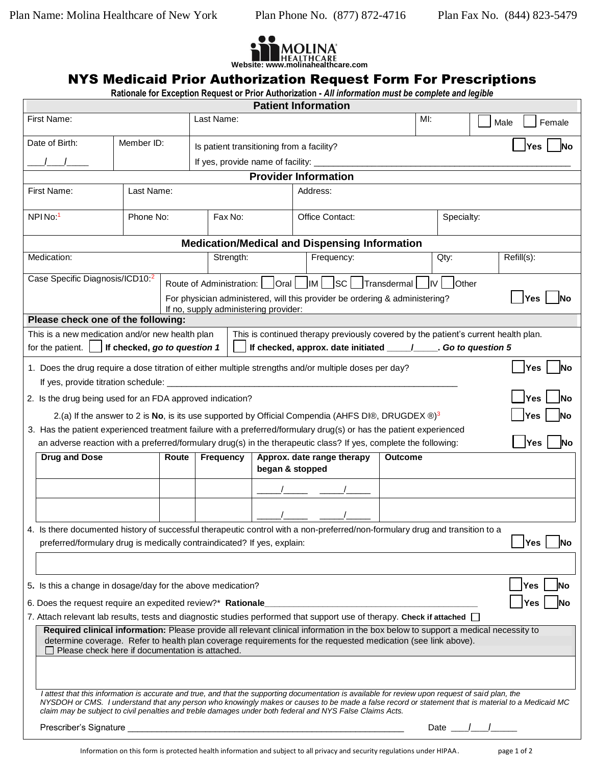

## NYS Medicaid Prior Authorization Request Form For Prescriptions

**Rationale for Exception Request or Prior Authorization -** *All information must be complete and legible* 

|                                                                             |                                                                         |            |                                       |                                           | <b>Patient Information</b>                                                                                                                                                                                                                                                                                                                                                                                          |                          |            |      |                  |
|-----------------------------------------------------------------------------|-------------------------------------------------------------------------|------------|---------------------------------------|-------------------------------------------|---------------------------------------------------------------------------------------------------------------------------------------------------------------------------------------------------------------------------------------------------------------------------------------------------------------------------------------------------------------------------------------------------------------------|--------------------------|------------|------|------------------|
| First Name:                                                                 |                                                                         |            | Last Name:                            |                                           |                                                                                                                                                                                                                                                                                                                                                                                                                     | $Ml$ :                   |            | Male | Female           |
| Date of Birth:                                                              |                                                                         | Member ID: |                                       | Is patient transitioning from a facility? |                                                                                                                                                                                                                                                                                                                                                                                                                     |                          |            |      | Yes<br>lNo       |
|                                                                             |                                                                         |            |                                       |                                           | If yes, provide name of facility: ____________                                                                                                                                                                                                                                                                                                                                                                      |                          |            |      |                  |
|                                                                             |                                                                         |            |                                       |                                           | <b>Provider Information</b>                                                                                                                                                                                                                                                                                                                                                                                         |                          |            |      |                  |
| First Name:                                                                 | Last Name:                                                              |            |                                       |                                           | Address:                                                                                                                                                                                                                                                                                                                                                                                                            |                          |            |      |                  |
| NPIN <sub>o</sub> : <sup>1</sup><br>Phone No:                               |                                                                         |            | Fax No:                               |                                           | Office Contact:                                                                                                                                                                                                                                                                                                                                                                                                     |                          | Specialty: |      |                  |
|                                                                             |                                                                         |            |                                       |                                           | <b>Medication/Medical and Dispensing Information</b>                                                                                                                                                                                                                                                                                                                                                                |                          |            |      |                  |
| Medication:                                                                 |                                                                         |            | Strength:                             |                                           | Frequency:                                                                                                                                                                                                                                                                                                                                                                                                          |                          | Qty:       |      | Refill(s):       |
| Case Specific Diagnosis/ICD10:2                                             |                                                                         |            | If no, supply administering provider: |                                           | For physician administered, will this provider be ordering & administering?                                                                                                                                                                                                                                                                                                                                         | Transdermal   IV   Other |            |      | Yes              |
| Please check one of the following:                                          |                                                                         |            |                                       |                                           |                                                                                                                                                                                                                                                                                                                                                                                                                     |                          |            |      |                  |
| This is a new medication and/or new health plan<br>for the patient. $\vert$ | If checked, go to question 1                                            |            |                                       |                                           | This is continued therapy previously covered by the patient's current health plan.<br>If checked, approx. date initiated ___________. Go to question 5                                                                                                                                                                                                                                                              |                          |            |      |                  |
|                                                                             |                                                                         |            |                                       |                                           | 1. Does the drug require a dose titration of either multiple strengths and/or multiple doses per day?                                                                                                                                                                                                                                                                                                               |                          |            |      | Yes<br>lNo       |
|                                                                             |                                                                         |            |                                       |                                           |                                                                                                                                                                                                                                                                                                                                                                                                                     |                          |            |      |                  |
| 2. Is the drug being used for an FDA approved indication?                   |                                                                         |            |                                       |                                           | 2.(a) If the answer to 2 is No, is its use supported by Official Compendia (AHFS DI®, DRUGDEX ®) <sup>3</sup><br>3. Has the patient experienced treatment failure with a preferred/formulary drug(s) or has the patient experienced<br>an adverse reaction with a preferred/formulary drug(s) in the therapeutic class? If yes, complete the following:                                                             |                          |            |      | Yes<br>Yes       |
| <b>Drug and Dose</b>                                                        |                                                                         | Route      | Frequency                             | began & stopped                           | Approx. date range therapy                                                                                                                                                                                                                                                                                                                                                                                          | <b>Outcome</b>           |            |      |                  |
|                                                                             |                                                                         |            |                                       |                                           |                                                                                                                                                                                                                                                                                                                                                                                                                     |                          |            |      |                  |
|                                                                             |                                                                         |            |                                       |                                           |                                                                                                                                                                                                                                                                                                                                                                                                                     |                          |            |      |                  |
|                                                                             | preferred/formulary drug is medically contraindicated? If yes, explain: |            |                                       |                                           | 4. Is there documented history of successful therapeutic control with a non-preferred/non-formulary drug and transition to a                                                                                                                                                                                                                                                                                        |                          |            |      | Yes<br><b>No</b> |
|                                                                             |                                                                         |            |                                       |                                           |                                                                                                                                                                                                                                                                                                                                                                                                                     |                          |            |      |                  |
| 5. Is this a change in dosage/day for the above medication?                 |                                                                         |            |                                       |                                           |                                                                                                                                                                                                                                                                                                                                                                                                                     |                          |            |      | Yes<br>lΝo       |
| 6. Does the request require an expedited review?* Rationale                 |                                                                         |            |                                       |                                           |                                                                                                                                                                                                                                                                                                                                                                                                                     |                          |            |      | Yes              |
|                                                                             | Please check here if documentation is attached.                         |            |                                       |                                           | 7. Attach relevant lab results, tests and diagnostic studies performed that support use of therapy. Check if attached $\Box$<br>Required clinical information: Please provide all relevant clinical information in the box below to support a medical necessity to<br>determine coverage. Refer to health plan coverage requirements for the requested medication (see link above).                                 |                          |            |      |                  |
|                                                                             |                                                                         |            |                                       |                                           |                                                                                                                                                                                                                                                                                                                                                                                                                     |                          |            |      |                  |
|                                                                             |                                                                         |            |                                       |                                           | I attest that this information is accurate and true, and that the supporting documentation is available for review upon request of said plan, the<br>NYSDOH or CMS. I understand that any person who knowingly makes or causes to be made a false record or statement that is material to a Medicaid MC<br>claim may be subject to civil penalties and treble damages under both federal and NYS False Claims Acts. |                          |            |      |                  |